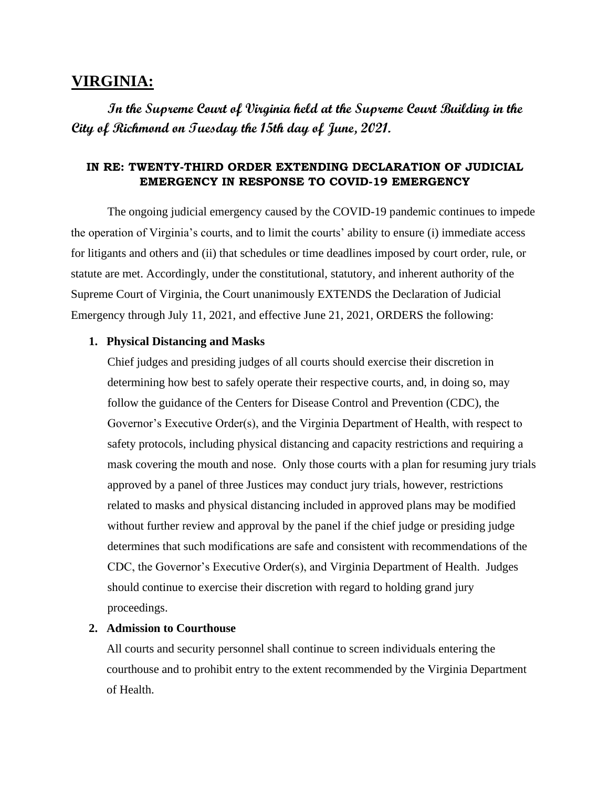# **VIRGINIA:**

**In the Supreme Court of Virginia held at the Supreme Court Building in the City of Richmond on Tuesday the 15th day of June, 2021.** 

## **IN RE: TWENTY-THIRD ORDER EXTENDING DECLARATION OF JUDICIAL EMERGENCY IN RESPONSE TO COVID-19 EMERGENCY**

The ongoing judicial emergency caused by the COVID-19 pandemic continues to impede the operation of Virginia's courts, and to limit the courts' ability to ensure (i) immediate access for litigants and others and (ii) that schedules or time deadlines imposed by court order, rule, or statute are met. Accordingly, under the constitutional, statutory, and inherent authority of the Supreme Court of Virginia, the Court unanimously EXTENDS the Declaration of Judicial Emergency through July 11, 2021, and effective June 21, 2021, ORDERS the following:

### **1. Physical Distancing and Masks**

Chief judges and presiding judges of all courts should exercise their discretion in determining how best to safely operate their respective courts, and, in doing so, may follow the guidance of the Centers for Disease Control and Prevention (CDC), the Governor's Executive Order(s), and the Virginia Department of Health, with respect to safety protocols, including physical distancing and capacity restrictions and requiring a mask covering the mouth and nose. Only those courts with a plan for resuming jury trials approved by a panel of three Justices may conduct jury trials, however, restrictions related to masks and physical distancing included in approved plans may be modified without further review and approval by the panel if the chief judge or presiding judge determines that such modifications are safe and consistent with recommendations of the CDC, the Governor's Executive Order(s), and Virginia Department of Health. Judges should continue to exercise their discretion with regard to holding grand jury proceedings.

#### **2. Admission to Courthouse**

All courts and security personnel shall continue to screen individuals entering the courthouse and to prohibit entry to the extent recommended by the Virginia Department of Health.